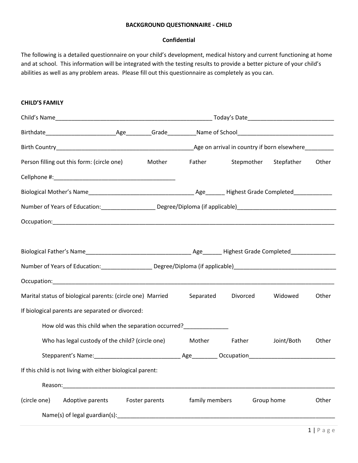## **Confidential**

The following is a detailed questionnaire on your child's development, medical history and current functioning at home and at school. This information will be integrated with the testing results to provide a better picture of your child's abilities as well as any problem areas. Please fill out this questionnaire as completely as you can.

## **CHILD'S FAMILY**

| Person filling out this form: (circle one) Mother Father Stepmother Stepfather                                                                                                                                                 |                |                |               |            | Other |
|--------------------------------------------------------------------------------------------------------------------------------------------------------------------------------------------------------------------------------|----------------|----------------|---------------|------------|-------|
|                                                                                                                                                                                                                                |                |                |               |            |       |
|                                                                                                                                                                                                                                |                |                |               |            |       |
|                                                                                                                                                                                                                                |                |                |               |            |       |
| Occupation: contract to the contract of the contract of the contract of the contract of the contract of the contract of the contract of the contract of the contract of the contract of the contract of the contract of the co |                |                |               |            |       |
|                                                                                                                                                                                                                                |                |                |               |            |       |
|                                                                                                                                                                                                                                |                |                |               |            |       |
| Number of Years of Education: _______________________ Degree/Diploma (if applicable)________________________________                                                                                                           |                |                |               |            |       |
|                                                                                                                                                                                                                                |                |                |               |            |       |
| Marital status of biological parents: (circle one) Married                                                                                                                                                                     |                | Separated      | Divorced      | Widowed    | Other |
| If biological parents are separated or divorced:                                                                                                                                                                               |                |                |               |            |       |
|                                                                                                                                                                                                                                |                |                |               |            |       |
| Who has legal custody of the child? (circle one)                                                                                                                                                                               |                |                | Mother Father | Joint/Both | Other |
|                                                                                                                                                                                                                                |                |                |               |            |       |
| If this child is not living with either biological parent:                                                                                                                                                                     |                |                |               |            |       |
| Reason:                                                                                                                                                                                                                        |                |                |               |            |       |
| (circle one)<br>Adoptive parents                                                                                                                                                                                               | Foster parents | family members |               | Group home | Other |
| Name(s) of legal guardian(s): Name (s) and a set of legal guardian (s):                                                                                                                                                        |                |                |               |            |       |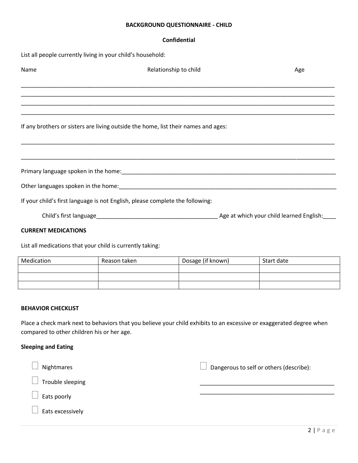#### **Confidential**

List all people currently living in your child's household:

| Name                   | Relationship to child                                                              | Age                                      |
|------------------------|------------------------------------------------------------------------------------|------------------------------------------|
|                        |                                                                                    |                                          |
|                        |                                                                                    |                                          |
|                        | If any brothers or sisters are living outside the home, list their names and ages: |                                          |
|                        |                                                                                    |                                          |
|                        |                                                                                    |                                          |
|                        |                                                                                    |                                          |
|                        | If your child's first language is not English, please complete the following:      |                                          |
| Child's first language |                                                                                    | Age at which your child learned English: |

#### **CURRENT MEDICATIONS**

List all medications that your child is currently taking:

| Medication | Reason taken | Dosage (if known) | Start date |
|------------|--------------|-------------------|------------|
|            |              |                   |            |
|            |              |                   |            |
|            |              |                   |            |

### **BEHAVIOR CHECKLIST**

Place a check mark next to behaviors that you believe your child exhibits to an excessive or exaggerated degree when compared to other children his or her age.

### **Sleeping and Eating**

| Nightmares       | Dangerous to self or others (describe): |
|------------------|-----------------------------------------|
| Trouble sleeping |                                         |
| Eats poorly      |                                         |
| Eats excessively |                                         |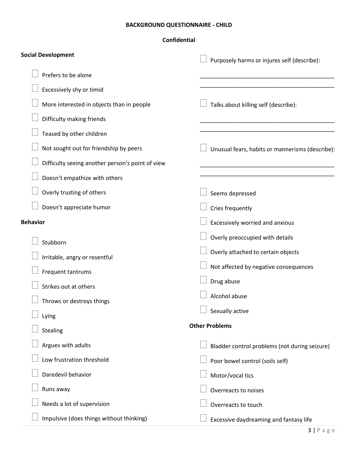| <b>Social Development</b>                        | Purposely harms or injures self (describe):     |
|--------------------------------------------------|-------------------------------------------------|
| Prefers to be alone                              |                                                 |
| Excessively shy or timid                         |                                                 |
| More interested in objects than in people        | Talks about killing self (describe):            |
| Difficulty making friends                        |                                                 |
| Teased by other children                         |                                                 |
| Not sought out for friendship by peers           | Unusual fears, habits or mannerisms (describe): |
| Difficulty seeing another person's point of view |                                                 |
| Doesn't empathize with others                    |                                                 |
| Overly trusting of others                        | Seems depressed                                 |
| Doesn't appreciate humor                         | Cries frequently                                |
| <b>Behavior</b>                                  | Excessively worried and anxious                 |
| Stubborn                                         | Overly preoccupied with details                 |
| Irritable, angry or resentful                    | Overly attached to certain objects              |
| Frequent tantrums                                | Not affected by negative consequences           |
| Strikes out at others                            | Drug abuse                                      |
| Throws or destroys things                        | Alcohol abuse                                   |
| Lying                                            | $\Box$ Sexually active                          |
| <b>Stealing</b>                                  | <b>Other Problems</b>                           |
| Argues with adults                               | Bladder control problems (not during seizure)   |
| Low frustration threshold                        | Poor bowel control (soils self)                 |
| Daredevil behavior                               | Motor/vocal tics                                |
| Runs away                                        | Overreacts to noises                            |
| Needs a lot of supervision                       | Overreacts to touch                             |
| Impulsive (does things without thinking)         | Excessive daydreaming and fantasy life          |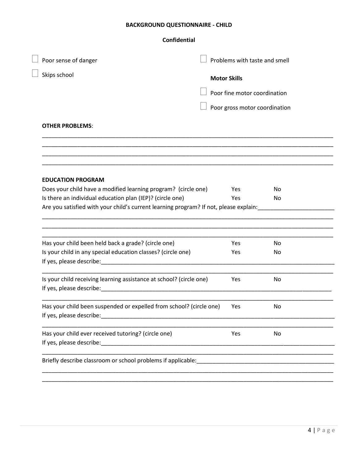# **Confidential**

| Poor sense of danger     |                                                                                       | Problems with taste and smell |     |  |
|--------------------------|---------------------------------------------------------------------------------------|-------------------------------|-----|--|
| Skips school             |                                                                                       | <b>Motor Skills</b>           |     |  |
|                          |                                                                                       | Poor fine motor coordination  |     |  |
|                          |                                                                                       | Poor gross motor coordination |     |  |
| <b>OTHER PROBLEMS:</b>   |                                                                                       |                               |     |  |
|                          |                                                                                       |                               |     |  |
| <b>EDUCATION PROGRAM</b> |                                                                                       |                               |     |  |
|                          | Does your child have a modified learning program? (circle one)                        | Yes                           | No  |  |
|                          | Is there an individual education plan (IEP)? (circle one)                             | Yes                           | No  |  |
|                          | Are you satisfied with your child's current learning program? If not, please explain: |                               |     |  |
|                          |                                                                                       |                               |     |  |
|                          | Has your child been held back a grade? (circle one)                                   | Yes                           | No. |  |
|                          | Is your child in any special education classes? (circle one)                          | Yes                           | No  |  |
|                          | Is your child receiving learning assistance at school? (circle one)                   | Yes                           | No  |  |
| If yes, please describe: | Has your child been suspended or expelled from school? (circle one)                   | Yes                           | No. |  |
|                          | Has your child ever received tutoring? (circle one)                                   | Yes                           | No  |  |
|                          |                                                                                       |                               |     |  |
|                          |                                                                                       |                               |     |  |
|                          |                                                                                       |                               |     |  |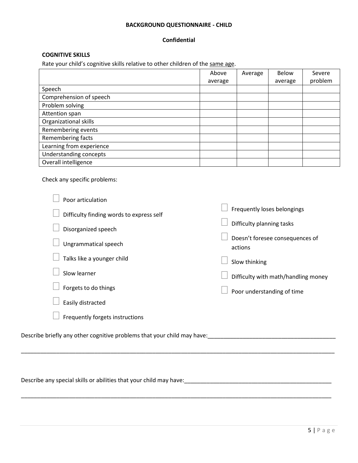## **Confidential**

## **COGNITIVE SKILLS**

Rate your child's cognitive skills relative to other children of the same age.

|                          | Above   | Average | <b>Below</b> | Severe  |
|--------------------------|---------|---------|--------------|---------|
|                          | average |         | average      | problem |
| Speech                   |         |         |              |         |
| Comprehension of speech  |         |         |              |         |
| Problem solving          |         |         |              |         |
| Attention span           |         |         |              |         |
| Organizational skills    |         |         |              |         |
| Remembering events       |         |         |              |         |
| Remembering facts        |         |         |              |         |
| Learning from experience |         |         |              |         |
| Understanding concepts   |         |         |              |         |
| Overall intelligence     |         |         |              |         |

Check any specific problems:

| Poor articulation                                                       |                                            |
|-------------------------------------------------------------------------|--------------------------------------------|
| Difficulty finding words to express self                                | Frequently loses belongings                |
| Disorganized speech                                                     | Difficulty planning tasks                  |
| Ungrammatical speech                                                    | Doesn't foresee consequences of<br>actions |
| Talks like a younger child                                              | Slow thinking                              |
| Slow learner                                                            | Difficulty with math/handling money        |
| Forgets to do things                                                    | Poor understanding of time                 |
| Easily distracted                                                       |                                            |
| Frequently forgets instructions                                         |                                            |
| Describe briefly any other cognitive problems that your child may have: |                                            |

\_\_\_\_\_\_\_\_\_\_\_\_\_\_\_\_\_\_\_\_\_\_\_\_\_\_\_\_\_\_\_\_\_\_\_\_\_\_\_\_\_\_\_\_\_\_\_\_\_\_\_\_\_\_\_\_\_\_\_\_\_\_\_\_\_\_\_\_\_\_\_\_\_\_\_\_\_\_\_\_\_\_\_\_\_\_\_\_\_\_\_\_\_\_\_\_\_\_

\_\_\_\_\_\_\_\_\_\_\_\_\_\_\_\_\_\_\_\_\_\_\_\_\_\_\_\_\_\_\_\_\_\_\_\_\_\_\_\_\_\_\_\_\_\_\_\_\_\_\_\_\_\_\_\_\_\_\_\_\_\_\_\_\_\_\_\_\_\_\_\_\_\_\_\_\_\_\_\_\_\_\_\_\_\_\_\_\_\_\_\_\_\_\_\_\_

Describe any special skills or abilities that your child may have:<br>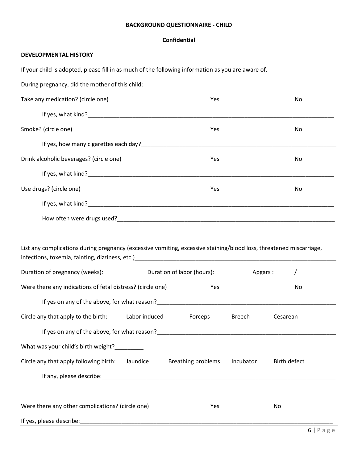## **Confidential**

## **DEVELOPMENTAL HISTORY**

If your child is adopted, please fill in as much of the following information as you are aware of.

During pregnancy, did the mother of this child:

| Take any medication? (circle one)                                                                                                                                                                                                                                                                                                                      | Yes                                    | No           |
|--------------------------------------------------------------------------------------------------------------------------------------------------------------------------------------------------------------------------------------------------------------------------------------------------------------------------------------------------------|----------------------------------------|--------------|
|                                                                                                                                                                                                                                                                                                                                                        |                                        |              |
| Smoke? (circle one)                                                                                                                                                                                                                                                                                                                                    | Yes                                    | No           |
|                                                                                                                                                                                                                                                                                                                                                        |                                        |              |
| Drink alcoholic beverages? (circle one)                                                                                                                                                                                                                                                                                                                | Yes                                    | No           |
|                                                                                                                                                                                                                                                                                                                                                        |                                        |              |
| Use drugs? (circle one)                                                                                                                                                                                                                                                                                                                                | Yes                                    | No           |
|                                                                                                                                                                                                                                                                                                                                                        |                                        |              |
|                                                                                                                                                                                                                                                                                                                                                        |                                        |              |
| List any complications during pregnancy (excessive vomiting, excessive staining/blood loss, threatened miscarriage,<br>infections, toxemia, fainting, dizziness, etc.)<br>and the contract contract contract contract contract contract of the state of the state of the state of the state of the state of the state of the state of the state of the |                                        |              |
| Were there any indications of fetal distress? (circle one)                                                                                                                                                                                                                                                                                             | Yes                                    | No           |
| If yes on any of the above, for what reason? The same state of the state of the state of the state of the state of the state of the state of the state of the state of the state of the state of the state of the state of the                                                                                                                         |                                        |              |
| Circle any that apply to the birth:<br>Labor induced                                                                                                                                                                                                                                                                                                   | <b>Exerceps</b><br>Breech              | Cesarean     |
|                                                                                                                                                                                                                                                                                                                                                        |                                        |              |
| What was your child's birth weight?                                                                                                                                                                                                                                                                                                                    |                                        |              |
| Circle any that apply following birth: Jaundice                                                                                                                                                                                                                                                                                                        |                                        |              |
|                                                                                                                                                                                                                                                                                                                                                        | <b>Breathing problems</b><br>Incubator | Birth defect |
|                                                                                                                                                                                                                                                                                                                                                        |                                        |              |

| Were there any other complications? (circle one) | Yes | Nο |  |
|--------------------------------------------------|-----|----|--|
| If yes, please describe:                         |     |    |  |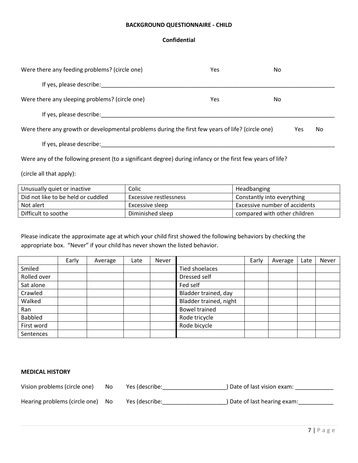## **Confidential**

| Were there any feeding problems? (circle one)                                                    | Yes | No. |    |
|--------------------------------------------------------------------------------------------------|-----|-----|----|
| If yes, please describe:                                                                         |     |     |    |
| Were there any sleeping problems? (circle one)                                                   | Yes | No. |    |
| If yes, please describe:                                                                         |     |     |    |
| Were there any growth or developmental problems during the first few years of life? (circle one) |     | Yes | No |
| If yes, please describe:                                                                         |     |     |    |

Were any of the following present (to a significant degree) during infancy or the first few years of life?

(circle all that apply):

| Unusually quiet or inactive        | Colic                  | <b>Headbanging</b>            |
|------------------------------------|------------------------|-------------------------------|
| Did not like to be held or cuddled | Excessive restlessness | Constantly into everything    |
| Not alert                          | Excessive sleep        | Excessive number of accidents |
| Difficult to soothe                | Diminished sleep       | compared with other children  |

Please indicate the approximate age at which your child first showed the following behaviors by checking the appropriate box. "Never" if your child has never shown the listed behavior.

|             | Early | Average | Late | <b>Never</b> |                        | Early | Average | Late | Never |
|-------------|-------|---------|------|--------------|------------------------|-------|---------|------|-------|
| Smiled      |       |         |      |              | <b>Tied shoelaces</b>  |       |         |      |       |
| Rolled over |       |         |      |              | Dressed self           |       |         |      |       |
| Sat alone   |       |         |      |              | Fed self               |       |         |      |       |
| Crawled     |       |         |      |              | Bladder trained, day   |       |         |      |       |
| Walked      |       |         |      |              | Bladder trained, night |       |         |      |       |
| Ran         |       |         |      |              | <b>Bowel trained</b>   |       |         |      |       |
| Babbled     |       |         |      |              | Rode tricycle          |       |         |      |       |
| First word  |       |         |      |              | Rode bicycle           |       |         |      |       |
| Sentences   |       |         |      |              |                        |       |         |      |       |

### **MEDICAL HISTORY**

Vision problems (circle one) No Yes (describe: 1992) Date of last vision exam: 1992) Date of last vision exam:

Hearing problems (circle one) No Yes (describe: 1988) No Yes (describe and Allen Communication (State of last hearing exam: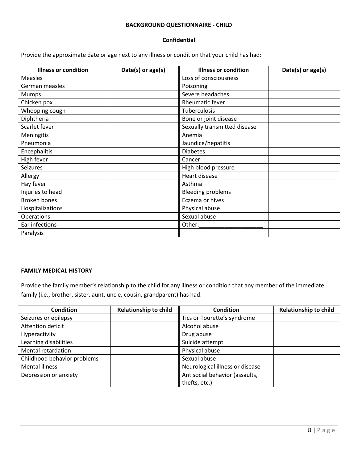## **Confidential**

Provide the approximate date or age next to any illness or condition that your child has had:

| <b>Illness or condition</b> | Date(s) or age(s) | <b>Illness or condition</b>  | Date(s) or age(s) |
|-----------------------------|-------------------|------------------------------|-------------------|
| <b>Measles</b>              |                   | Loss of consciousness        |                   |
| German measles              |                   | Poisoning                    |                   |
| <b>Mumps</b>                |                   | Severe headaches             |                   |
| Chicken pox                 |                   | Rheumatic fever              |                   |
| Whooping cough              |                   | Tuberculosis                 |                   |
| Diphtheria                  |                   | Bone or joint disease        |                   |
| Scarlet fever               |                   | Sexually transmitted disease |                   |
| Meningitis                  |                   | Anemia                       |                   |
| Pneumonia                   |                   | Jaundice/hepatitis           |                   |
| Encephalitis                |                   | <b>Diabetes</b>              |                   |
| High fever                  |                   | Cancer                       |                   |
| Seizures                    |                   | High blood pressure          |                   |
| Allergy                     |                   | Heart disease                |                   |
| Hay fever                   |                   | Asthma                       |                   |
| Injuries to head            |                   | <b>Bleeding problems</b>     |                   |
| <b>Broken bones</b>         |                   | Eczema or hives              |                   |
| Hospitalizations            |                   | Physical abuse               |                   |
| Operations                  |                   | Sexual abuse                 |                   |
| Ear infections              |                   | Other:                       |                   |
| Paralysis                   |                   |                              |                   |

## **FAMILY MEDICAL HISTORY**

Provide the family member's relationship to the child for any illness or condition that any member of the immediate family (i.e., brother, sister, aunt, uncle, cousin, grandparent) has had:

| <b>Condition</b>            | <b>Relationship to child</b> | <b>Condition</b>                | <b>Relationship to child</b> |
|-----------------------------|------------------------------|---------------------------------|------------------------------|
| Seizures or epilepsy        |                              | Tics or Tourette's syndrome     |                              |
| Attention deficit           |                              | Alcohol abuse                   |                              |
| Hyperactivity               |                              | Drug abuse                      |                              |
| Learning disabilities       |                              | Suicide attempt                 |                              |
| Mental retardation          |                              | Physical abuse                  |                              |
| Childhood behavior problems |                              | Sexual abuse                    |                              |
| Mental illness              |                              | Neurological illness or disease |                              |
| Depression or anxiety       |                              | Antisocial behavior (assaults,  |                              |
|                             |                              | thefts, etc.)                   |                              |